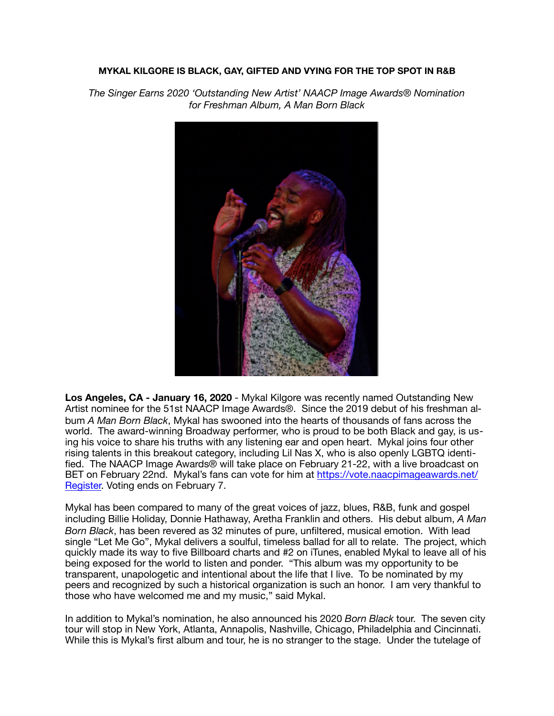## **MYKAL KILGORE IS BLACK, GAY, GIFTED AND VYING FOR THE TOP SPOT IN R&B**

*The Singer Earns 2020 'Outstanding New Artist' NAACP Image Awards® Nomination for Freshman Album, A Man Born Black* 



**Los Angeles, CA - January 16, 2020** - Mykal Kilgore was recently named Outstanding New Artist nominee for the 51st NAACP Image Awards®. Since the 2019 debut of his freshman album *A Man Born Black*, Mykal has swooned into the hearts of thousands of fans across the world. The award-winning Broadway performer, who is proud to be both Black and gay, is using his voice to share his truths with any listening ear and open heart. Mykal joins four other rising talents in this breakout category, including Lil Nas X, who is also openly LGBTQ identified. The NAACP Image Awards® will take place on February 21-22, with a live broadcast on BET on February 22nd. Mykal's fans can vote for him at [https://vote.naacpimageawards.net/](https://vote.naacpimageawards.net/Register) [Register.](https://vote.naacpimageawards.net/Register) Voting ends on February 7.

Mykal has been compared to many of the great voices of jazz, blues, R&B, funk and gospel including Billie Holiday, Donnie Hathaway, Aretha Franklin and others. His debut album, *A Man Born Black*, has been revered as 32 minutes of pure, unfiltered, musical emotion. With lead single "Let Me Go", Mykal delivers a soulful, timeless ballad for all to relate. The project, which quickly made its way to five Billboard charts and #2 on iTunes, enabled Mykal to leave all of his being exposed for the world to listen and ponder. "This album was my opportunity to be transparent, unapologetic and intentional about the life that I live. To be nominated by my peers and recognized by such a historical organization is such an honor. I am very thankful to those who have welcomed me and my music," said Mykal.

In addition to Mykal's nomination, he also announced his 2020 *Born Black* tour. The seven city tour will stop in New York, Atlanta, Annapolis, Nashville, Chicago, Philadelphia and Cincinnati. While this is Mykal's first album and tour, he is no stranger to the stage. Under the tutelage of